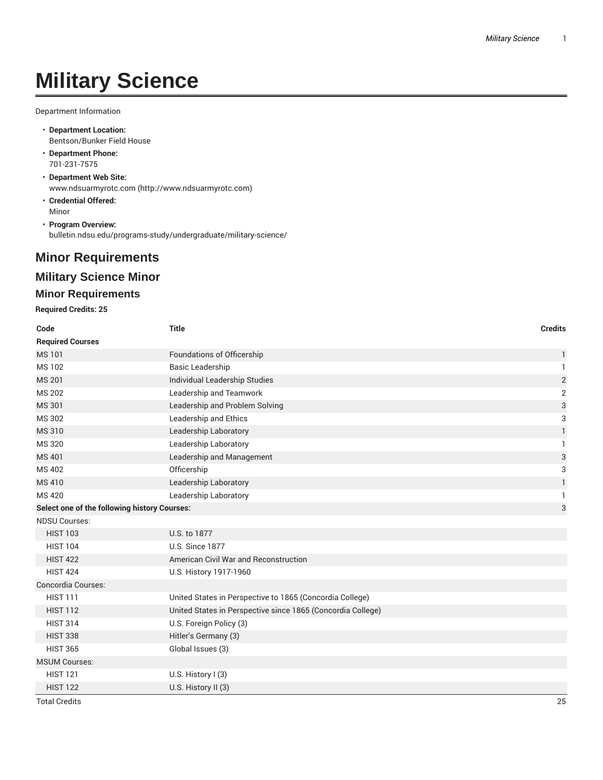# **Military Science**

Department Information

- **Department Location:** Bentson/Bunker Field House
- **Department Phone:** 701-231-7575
- **Department Web Site:** www.ndsuarmyrotc.com (http://www.ndsuarmyrotc.com)
- **Credential Offered:** Minor
- **Program Overview:** bulletin.ndsu.edu/programs-study/undergraduate/military-science/

## **Minor Requirements**

### **Military Science Minor**

#### **Minor Requirements**

**Required Credits: 25**

| Code                                         | <b>Title</b>                                                | <b>Credits</b> |
|----------------------------------------------|-------------------------------------------------------------|----------------|
| <b>Required Courses</b>                      |                                                             |                |
| <b>MS101</b>                                 | Foundations of Officership                                  | 1              |
| MS 102                                       | <b>Basic Leadership</b>                                     | $\mathbf{1}$   |
| <b>MS 201</b>                                | <b>Individual Leadership Studies</b>                        | $\sqrt{2}$     |
| <b>MS 202</b>                                | Leadership and Teamwork                                     | $\overline{2}$ |
| <b>MS301</b>                                 | Leadership and Problem Solving                              | 3              |
| MS 302                                       | Leadership and Ethics                                       | 3              |
| <b>MS310</b>                                 | Leadership Laboratory                                       | $\mathbf{1}$   |
| <b>MS320</b>                                 | Leadership Laboratory                                       | 1              |
| MS 401                                       | Leadership and Management                                   | 3              |
| <b>MS402</b>                                 | Officership                                                 | 3              |
| MS410                                        | Leadership Laboratory                                       | 1              |
| MS 420                                       | Leadership Laboratory                                       | $\mathbf{1}$   |
| Select one of the following history Courses: |                                                             | 3              |
| <b>NDSU Courses:</b>                         |                                                             |                |
| <b>HIST 103</b>                              | U.S. to 1877                                                |                |
| <b>HIST 104</b>                              | <b>U.S. Since 1877</b>                                      |                |
| <b>HIST 422</b>                              | American Civil War and Reconstruction                       |                |
| <b>HIST 424</b>                              | U.S. History 1917-1960                                      |                |
| Concordia Courses:                           |                                                             |                |
| <b>HIST 111</b>                              | United States in Perspective to 1865 (Concordia College)    |                |
| <b>HIST 112</b>                              | United States in Perspective since 1865 (Concordia College) |                |
| <b>HIST 314</b>                              | U.S. Foreign Policy (3)                                     |                |
| <b>HIST 338</b>                              | Hitler's Germany (3)                                        |                |
| <b>HIST 365</b>                              | Global Issues (3)                                           |                |
| <b>MSUM Courses:</b>                         |                                                             |                |
| <b>HIST 121</b>                              | U.S. History $I(3)$                                         |                |
| <b>HIST 122</b>                              | U.S. History II (3)                                         |                |

Total Credits 25